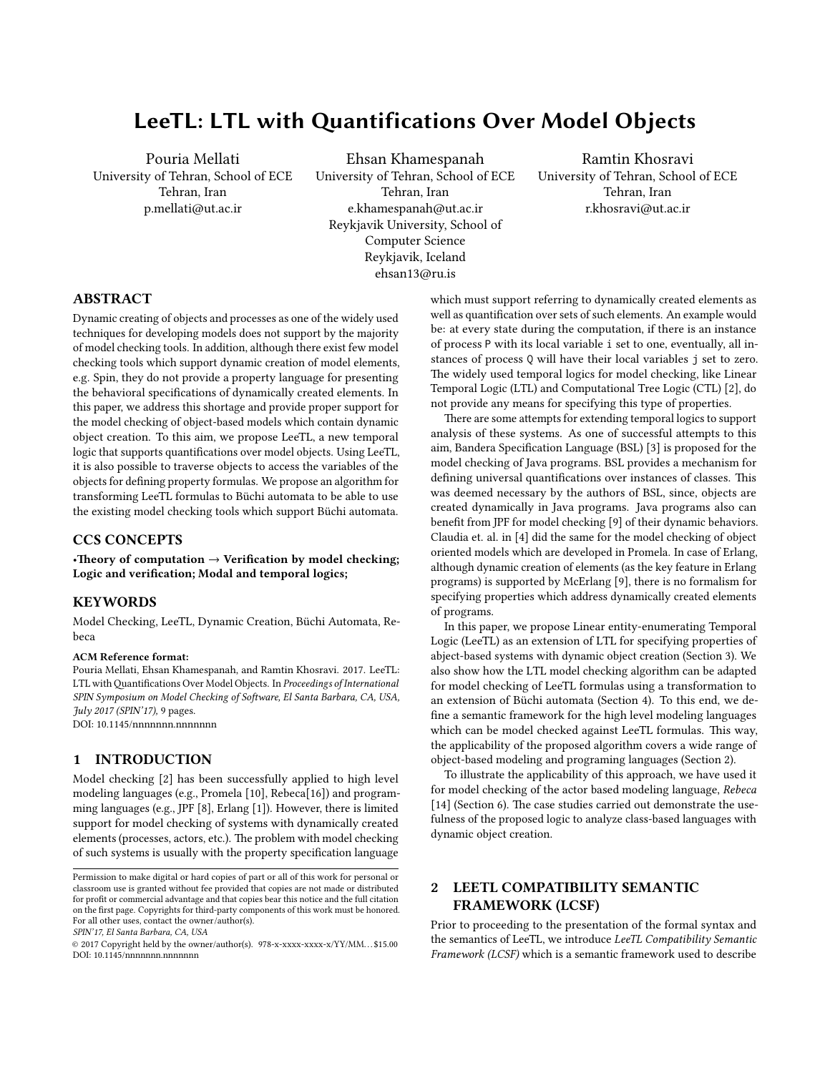# LeeTL: LTL with Quantifications Over Model Objects

Pouria Mellati University of Tehran, School of ECE Tehran, Iran p.mellati@ut.ac.ir

Ehsan Khamespanah University of Tehran, School of ECE Tehran, Iran e.khamespanah@ut.ac.ir Reykjavik University, School of Computer Science Reykjavik, Iceland ehsan13@ru.is

Ramtin Khosravi University of Tehran, School of ECE Tehran, Iran r.khosravi@ut.ac.ir

# ABSTRACT

Dynamic creating of objects and processes as one of the widely used techniques for developing models does not support by the majority of model checking tools. In addition, although there exist few model checking tools which support dynamic creation of model elements, e.g. Spin, they do not provide a property language for presenting the behavioral specifications of dynamically created elements. In this paper, we address this shortage and provide proper support for the model checking of object-based models which contain dynamic object creation. To this aim, we propose LeeTL, a new temporal logic that supports quantifications over model objects. Using LeeTL, it is also possible to traverse objects to access the variables of the objects for defining property formulas. We propose an algorithm for transforming LeeTL formulas to Buchi automata to be able to use ¨ the existing model checking tools which support Büchi automata.

## CCS CONCEPTS

•Theory of computation  $\rightarrow$  Verification by model checking; Logic and verification; Modal and temporal logics;

## **KEYWORDS**

Model Checking, LeeTL, Dynamic Creation, Buchi Automata, Re- ¨ beca

#### ACM Reference format:

Pouria Mellati, Ehsan Khamespanah, and Ramtin Khosravi. 2017. LeeTL: LTL with Quantifications Over Model Objects. In Proceedings of International SPIN Symposium on Model Checking of Software, El Santa Barbara, CA, USA, July 2017 (SPIN'17), [9](#page-8-0) pages. DOI: 10.1145/nnnnnnn.nnnnnnn

# 1 INTRODUCTION

Model checking [\[2\]](#page-7-0) has been successfully applied to high level modeling languages (e.g., Promela [\[10\]](#page-7-1), Rebeca[\[16\]](#page-8-1)) and programming languages (e.g., JPF [\[8\]](#page-7-2), Erlang [\[1\]](#page-7-3)). However, there is limited support for model checking of systems with dynamically created elements (processes, actors, etc.). The problem with model checking of such systems is usually with the property specification language

SPIN'17, El Santa Barbara, CA, USA

which must support referring to dynamically created elements as well as quantification over sets of such elements. An example would be: at every state during the computation, if there is an instance of process P with its local variable i set to one, eventually, all instances of process Q will have their local variables j set to zero. The widely used temporal logics for model checking, like Linear Temporal Logic (LTL) and Computational Tree Logic (CTL) [\[2\]](#page-7-0), do not provide any means for specifying this type of properties.

There are some attempts for extending temporal logics to support analysis of these systems. As one of successful attempts to this aim, Bandera Specification Language (BSL) [\[3\]](#page-7-4) is proposed for the model checking of Java programs. BSL provides a mechanism for defining universal quantifications over instances of classes. This was deemed necessary by the authors of BSL, since, objects are created dynamically in Java programs. Java programs also can benefit from JPF for model checking [\[9\]](#page-7-5) of their dynamic behaviors. Claudia et. al. in [\[4\]](#page-7-6) did the same for the model checking of object oriented models which are developed in Promela. In case of Erlang, although dynamic creation of elements (as the key feature in Erlang programs) is supported by McErlang [\[9\]](#page-7-5), there is no formalism for specifying properties which address dynamically created elements of programs.

In this paper, we propose Linear entity-enumerating Temporal Logic (LeeTL) as an extension of LTL for specifying properties of abject-based systems with dynamic object creation (Section [3\)](#page-1-0). We also show how the LTL model checking algorithm can be adapted for model checking of LeeTL formulas using a transformation to an extension of Büchi automata (Section [4\)](#page-2-0). To this end, we define a semantic framework for the high level modeling languages which can be model checked against LeeTL formulas. This way, the applicability of the proposed algorithm covers a wide range of object-based modeling and programing languages (Section [2\)](#page-0-0).

To illustrate the applicability of this approach, we have used it for model checking of the actor based modeling language, Rebeca  $[14]$  (Section [6\)](#page-6-0). The case studies carried out demonstrate the usefulness of the proposed logic to analyze class-based languages with dynamic object creation.

# <span id="page-0-0"></span>2 LEETL COMPATIBILITY SEMANTIC FRAMEWORK (LCSF)

Prior to proceeding to the presentation of the formal syntax and the semantics of LeeTL, we introduce LeeTL Compatibility Semantic Framework (LCSF) which is a semantic framework used to describe

Permission to make digital or hard copies of part or all of this work for personal or classroom use is granted without fee provided that copies are not made or distributed for profit or commercial advantage and that copies bear this notice and the full citation on the first page. Copyrights for third-party components of this work must be honored. For all other uses, contact the owner/author(s).

<sup>©</sup> 2017 Copyright held by the owner/author(s). 978-x-xxxx-xxxx-x/YY/MM. . . \$15.00 DOI: 10.1145/nnnnnnn.nnnnnnn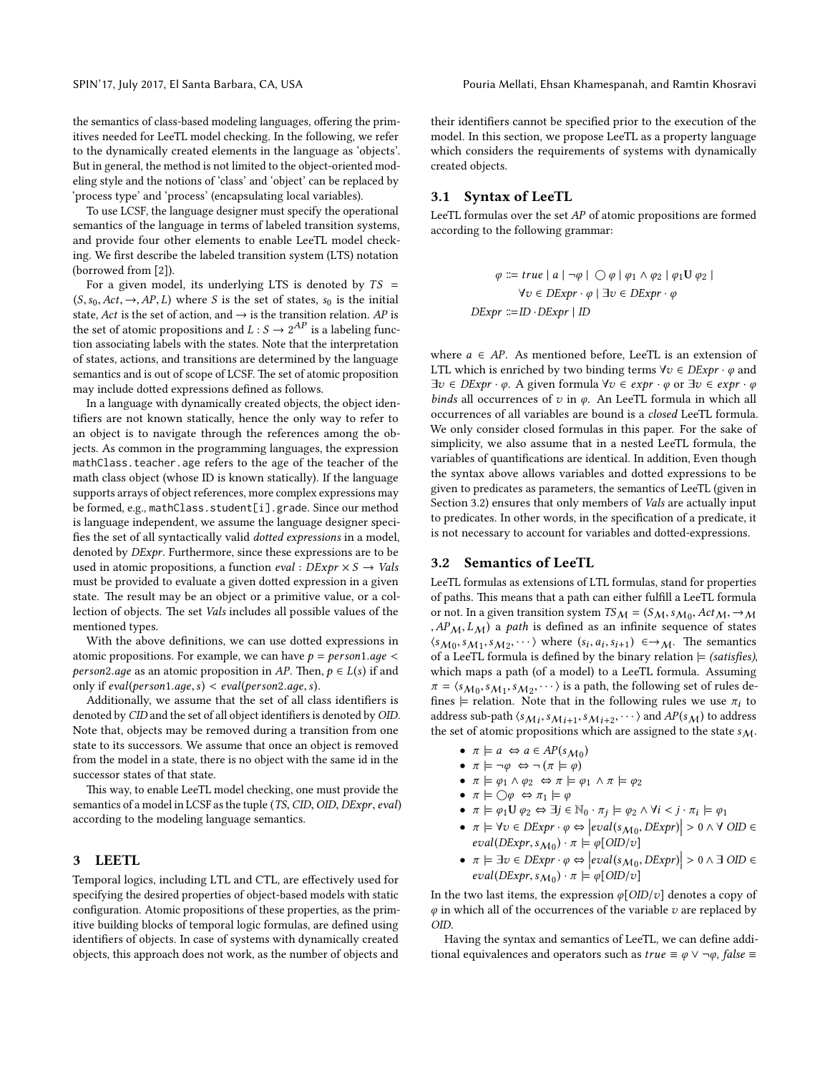the semantics of class-based modeling languages, offering the primitives needed for LeeTL model checking. In the following, we refer to the dynamically created elements in the language as 'objects'. But in general, the method is not limited to the object-oriented modeling style and the notions of 'class' and 'object' can be replaced by 'process type' and 'process' (encapsulating local variables).

To use LCSF, the language designer must specify the operational semantics of the language in terms of labeled transition systems, and provide four other elements to enable LeeTL model checking. We first describe the labeled transition system (LTS) notation (borrowed from [\[2\]](#page-7-0)).

For a given model, its underlying LTS is denoted by  $TS =$  $(S, s_0, Act, \rightarrow, AP, L)$  where S is the set of states, s<sub>0</sub> is the initial state, Act is the set of action, and  $\rightarrow$  is the transition relation. AP is the set of atomic propositions and  $L : S \to 2^{AP}$  is a labeling function associating labels with the states. Note that the interpretation tion associating labels with the states. Note that the interpretation of states, actions, and transitions are determined by the language semantics and is out of scope of LCSF. The set of atomic proposition may include dotted expressions defined as follows.

In a language with dynamically created objects, the object identifiers are not known statically, hence the only way to refer to an object is to navigate through the references among the objects. As common in the programming languages, the expression mathClass.teacher.age refers to the age of the teacher of the math class object (whose ID is known statically). If the language supports arrays of object references, more complex expressions may be formed, e.g., mathClass.student[i].grade. Since our method is language independent, we assume the language designer speci fies the set of all syntactically valid dotted expressions in a model, denoted by DExpr. Furthermore, since these expressions are to be used in atomic propositions, a function eval :  $DExpr \times S \rightarrow Vals$ must be provided to evaluate a given dotted expression in a given state. The result may be an object or a primitive value, or a collection of objects. The set Vals includes all possible values of the mentioned types.

With the above definitions, we can use dotted expressions in atomic propositions. For example, we can have  $p = person1.age <$ *person2.age* as an atomic proposition in AP. Then,  $p \in L(s)$  if and only if  $eval(person1.age, s) < eval(person2.age, s)$ .

Additionally, we assume that the set of all class identifiers is denoted by CID and the set of all object identifiers is denoted by OID. Note that, objects may be removed during a transition from one state to its successors. We assume that once an object is removed from the model in a state, there is no object with the same id in the successor states of that state.

This way, to enable LeeTL model checking, one must provide the semantics of a model in LCSF as the tuple (TS, CID, OID, DExpr, eval) according to the modeling language semantics.

#### <span id="page-1-0"></span>3 LEETL

Temporal logics, including LTL and CTL, are effectively used for specifying the desired properties of object-based models with static configuration. Atomic propositions of these properties, as the primitive building blocks of temporal logic formulas, are defined using identifiers of objects. In case of systems with dynamically created objects, this approach does not work, as the number of objects and

their identifiers cannot be specified prior to the execution of the model. In this section, we propose LeeTL as a property language which considers the requirements of systems with dynamically created objects.

#### 3.1 Syntax of LeeTL

LeeTL formulas over the set AP of atomic propositions are formed according to the following grammar:

> $\varphi \equiv true \mid a \mid \neg \varphi \mid \bigcirc \varphi \mid \varphi_1 \wedge \varphi_2 \mid \varphi_1 \mathbf{U} \varphi_2 \mid$  $\forall v \in DExpr \cdot \varphi \mid \exists v \in DExpr \cdot \varphi$  $DExpr ::= ID \cdot DExpr \mid ID$

where  $a \in AP$ . As mentioned before, LeeTL is an extension of LTL which is enriched by two binding terms  $\forall v \in D\&\ xpr \cdot \varphi$  and  $\exists v \in D\&zpr \cdot \varphi$ . A given formula  $\forall v \in expr \cdot \varphi$  or  $\exists v \in expr \cdot \varphi$ binds all occurrences of  $v$  in  $\varphi$ . An LeeTL formula in which all occurrences of all variables are bound is a closed LeeTL formula. We only consider closed formulas in this paper. For the sake of simplicity, we also assume that in a nested LeeTL formula, the variables of quantifications are identical. In addition, Even though the syntax above allows variables and dotted expressions to be given to predicates as parameters, the semantics of LeeTL (given in Section [3.2\)](#page-1-1) ensures that only members of Vals are actually input to predicates. In other words, in the specification of a predicate, it is not necessary to account for variables and dotted-expressions.

#### <span id="page-1-1"></span>3.2 Semantics of LeeTL

LeeTL formulas as extensions of LTL formulas, stand for properties of paths. This means that a path can either fulfill a LeeTL formula or not. In a given transition system  $TS_{\mathcal{M}} = (S_{\mathcal{M}}, s_{\mathcal{M}_0}, Act_{\mathcal{M}}, \rightarrow_{\mathcal{M}}$ <br>  $AP_{\mathcal{M}}(A, \lambda)$  a path is defined as an infinite sequence of states ,  $AP_M$ ,  $L_M$ ) a path is defined as an infinite sequence of states  $\langle s_{M_0}, s_{M_1}, s_{M_2}, \cdots \rangle$  where  $(s_i, a_i, s_{i+1}) \in \rightarrow \mathcal{M}$ . The semantics of a LeeTL formula is defined by the binary relation  $\models$  (satisfies), which maps a path (of a model) to a LeeTL formula. Assuming  $\pi = \langle s_{M_0}, s_{M_1}, s_{M_2}, \cdots \rangle$  is a path, the following set of rules de-<br>fines  $\vdash$  relation. Note that in the following rules we use  $\pi$ ; to fines  $\models$  relation. Note that in the following rules we use  $\pi_i$  to address sub-path  $\langle s_{M_i}, s_{M_{i+1}}, s_{M_{i+2}}, \cdots \rangle$  and  $AP(s_M)$  to address the set of atomic propositions which are assigned to the state s  $\Omega$ address sub-path  $(s_{Mi}, s_{Mi+1}, s_{Mi+2}, \cdots)$  and  $AP(s_M)$  to address<br>the set of atomic propositions which are assigned to the state  $s_M$ .

- $\pi \models a \Leftrightarrow a \in AP(s_{\mathcal{M}_0})$ <br>
  $\pi \models \neg a \Leftrightarrow \neg (\pi \models a)$
- $\pi \models \neg \varphi \Leftrightarrow \neg (\pi \models \varphi)$
- $\pi \models \varphi_1 \land \varphi_2 \iff \pi \models \varphi_1 \land \pi \models \varphi_2$
- $\pi \models \bigcirc \varphi \Leftrightarrow \pi_1 \models \varphi$
- $\pi \models \varphi_1 \mathbf{U} \varphi_2 \Leftrightarrow \exists j \in \mathbb{N}_0 \cdot \pi_j \models \varphi_2 \wedge \forall i < j \cdot \pi_i \models \varphi_1$
- $\left| \begin{array}{c} \bullet & \pi \models \forall v \in DExpr \cdot \varphi \Leftrightarrow [eval(s_{M_0},DExpr)] > 0 \land \forall \ OID \in \end{array} \right|$  $eval(DExpr, s_{M0}) \cdot \pi \models \varphi[OID/v]$
- $\bullet \pi \models \exists v \in DExpr \cdot \varphi \Leftrightarrow \left| eval(s_{M_0}, DExpr) \right| > 0 \land \exists OID \in \text{gcd}(DExpr \land \neg \exists OID \land \exists OID \in \text{gcd}(DExpr \land \neg \exists OID \land \exists OID \land \exists OID \in \text{gcd}(DExpr \land \neg \exists OID \land \exists OID \land \exists OID \land \exists OID \land \exists OID \land \exists OID \land \exists OID \land \exists OID \land \exists OID \land \exists OID \land \exists OID \land \exists OID \land \exists OID \land \exists OID \land \exists OID \land \exists OID \land \exists OID \land$  $eval(DExpr, s_{\mathcal{M}_0}) \cdot \pi \models \varphi[OID/v]$

In the two last items, the expression  $\varphi$ [OID/v] denotes a copy of  $\varphi$  in which all of the occurrences of the variable  $v$  are replaced by OID.

Having the syntax and semantics of LeeTL, we can define additional equivalences and operators such as  $true \equiv \varphi \lor \neg \varphi$ , false  $\equiv$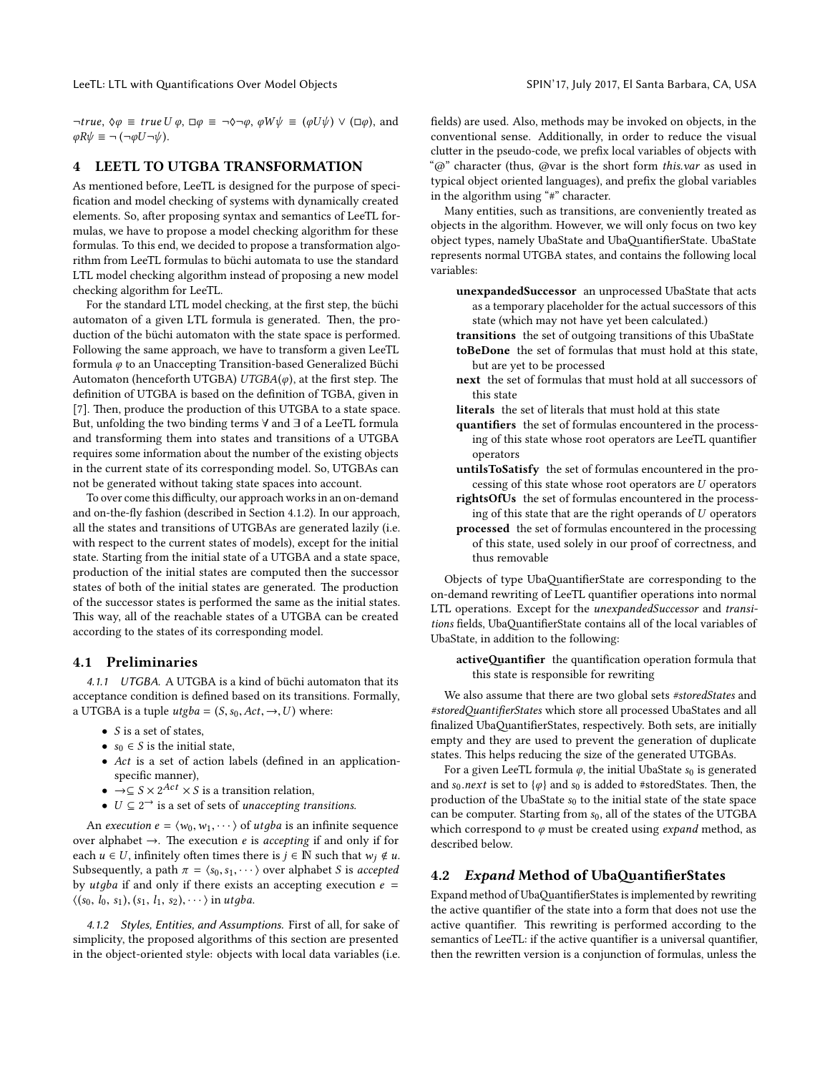$\neg true, \Diamond \varphi \equiv true U \varphi, \Box \varphi \equiv \neg \Diamond \neg \varphi, \varphi W \psi \equiv (\varphi U \psi) \vee (\Box \varphi)$ , and  $\varphi R \psi \equiv \neg (\neg \varphi U \neg \psi).$ 

# <span id="page-2-0"></span>4 LEETL TO UTGBA TRANSFORMATION

As mentioned before, LeeTL is designed for the purpose of speci fication and model checking of systems with dynamically created elements. So, after proposing syntax and semantics of LeeTL formulas, we have to propose a model checking algorithm for these formulas. To this end, we decided to propose a transformation algorithm from LeeTL formulas to büchi automata to use the standard LTL model checking algorithm instead of proposing a new model checking algorithm for LeeTL.

For the standard LTL model checking, at the first step, the büchi automaton of a given LTL formula is generated. Then, the production of the büchi automaton with the state space is performed. Following the same approach, we have to transform a given LeeTL formula  $\varphi$  to an Unaccepting Transition-based Generalized Büchi Automaton (henceforth UTGBA)  $UTGBA(\varphi)$ , at the first step. The definition of UTGBA is based on the definition of TGBA, given in [\[7\]](#page-7-8). Then, produce the production of this UTGBA to a state space. But, unfolding the two binding terms ∀ and ∃ of a LeeTL formula and transforming them into states and transitions of a UTGBA requires some information about the number of the existing objects in the current state of its corresponding model. So, UTGBAs can not be generated without taking state spaces into account.

To over come this difficulty, our approach works in an on-demand and on-the-fly fashion (described in Section [4.1.2\)](#page-2-1). In our approach, all the states and transitions of UTGBAs are generated lazily (i.e. with respect to the current states of models), except for the initial state. Starting from the initial state of a UTGBA and a state space, production of the initial states are computed then the successor states of both of the initial states are generated. The production of the successor states is performed the same as the initial states. This way, all of the reachable states of a UTGBA can be created according to the states of its corresponding model.

#### 4.1 Preliminaries

<span id="page-2-3"></span>4.1.1 UTGBA. A UTGBA is a kind of büchi automaton that its acceptance condition is defined based on its transitions. Formally, a UTGBA is a tuple  $utgba = (S, s_0, Act, \rightarrow, U)$  where:

- $S$  is a set of states,
- $s_0 \in S$  is the initial state,
- $\bullet$  Act is a set of action labels (defined in an applicationspecific manner),
- $\rightarrow \subseteq S \times 2^{Act} \times S$  is a transition relation,<br>•  $U \subseteq 2 \rightarrow$  is a set of sets of *unaccepting transition*
- $U \subseteq 2 \rightarrow \infty$  is a set of sets of *unaccepting transitions*.

An execution  $e = \langle w_0, w_1, \dots \rangle$  of utgba is an infinite sequence over alphabet  $\rightarrow$ . The execution *e* is *accepting* if and only if for each  $u \in U$ , infinitely often times there is  $j \in \mathbb{N}$  such that  $w_j \notin u$ . Subsequently, a path  $\pi = \langle s_0, s_1, \dots \rangle$  over alphabet *S* is *accepted* by *utgba* if and only if there exists an accepting execution  $e =$  $\langle (s_0, l_0, s_1), (s_1, l_1, s_2), \cdots \rangle$  in utgba.

<span id="page-2-1"></span>4.1.2 Styles, Entities, and Assumptions. First of all, for sake of simplicity, the proposed algorithms of this section are presented in the object-oriented style: objects with local data variables (i.e. fields) are used. Also, methods may be invoked on objects, in the conventional sense. Additionally, in order to reduce the visual clutter in the pseudo-code, we prefix local variables of objects with "@" character (thus, @var is the short form this.var as used in typical object oriented languages), and prefix the global variables in the algorithm using "#" character.

Many entities, such as transitions, are conveniently treated as objects in the algorithm. However, we will only focus on two key object types, namely UbaState and UbaQuantifierState. UbaState represents normal UTGBA states, and contains the following local variables:

- unexpandedSuccessor an unprocessed UbaState that acts as a temporary placeholder for the actual successors of this state (which may not have yet been calculated.)
- transitions the set of outgoing transitions of this UbaState toBeDone the set of formulas that must hold at this state, but are yet to be processed
- next the set of formulas that must hold at all successors of this state
- literals the set of literals that must hold at this state
- quantifiers the set of formulas encountered in the processing of this state whose root operators are LeeTL quantifier operators
- untilsToSatisfy the set of formulas encountered in the processing of this state whose root operators are U operators
- rightsOfUs the set of formulas encountered in the processing of this state that are the right operands of  $U$  operators
- processed the set of formulas encountered in the processing of this state, used solely in our proof of correctness, and thus removable

Objects of type UbaQuantifierState are corresponding to the on-demand rewriting of LeeTL quantifier operations into normal LTL operations. Except for the unexpandedSuccessor and transitions fields, UbaQuantifierState contains all of the local variables of UbaState, in addition to the following:

activeQuantifier the quantification operation formula that this state is responsible for rewriting

We also assume that there are two global sets #storedStates and #storedQuantifierStates which store all processed UbaStates and all finalized UbaQuantifierStates, respectively. Both sets, are initially empty and they are used to prevent the generation of duplicate states. This helps reducing the size of the generated UTGBAs.

For a given LeeTL formula  $\varphi$ , the initial UbaState  $s_0$  is generated and  $s_0.next$  is set to  $\{\varphi\}$  and  $s_0$  is added to #storedStates. Then, the production of the UbaState  $s_0$  to the initial state of the state space can be computer. Starting from  $s_0$ , all of the states of the UTGBA which correspond to  $\varphi$  must be created using *expand* method, as described below.

#### <span id="page-2-2"></span>4.2 Expand Method of UbaQuantifierStates

Expand method of UbaQuantifierStates is implemented by rewriting the active quantifier of the state into a form that does not use the active quantifier. This rewriting is performed according to the semantics of LeeTL: if the active quantifier is a universal quantifier, then the rewritten version is a conjunction of formulas, unless the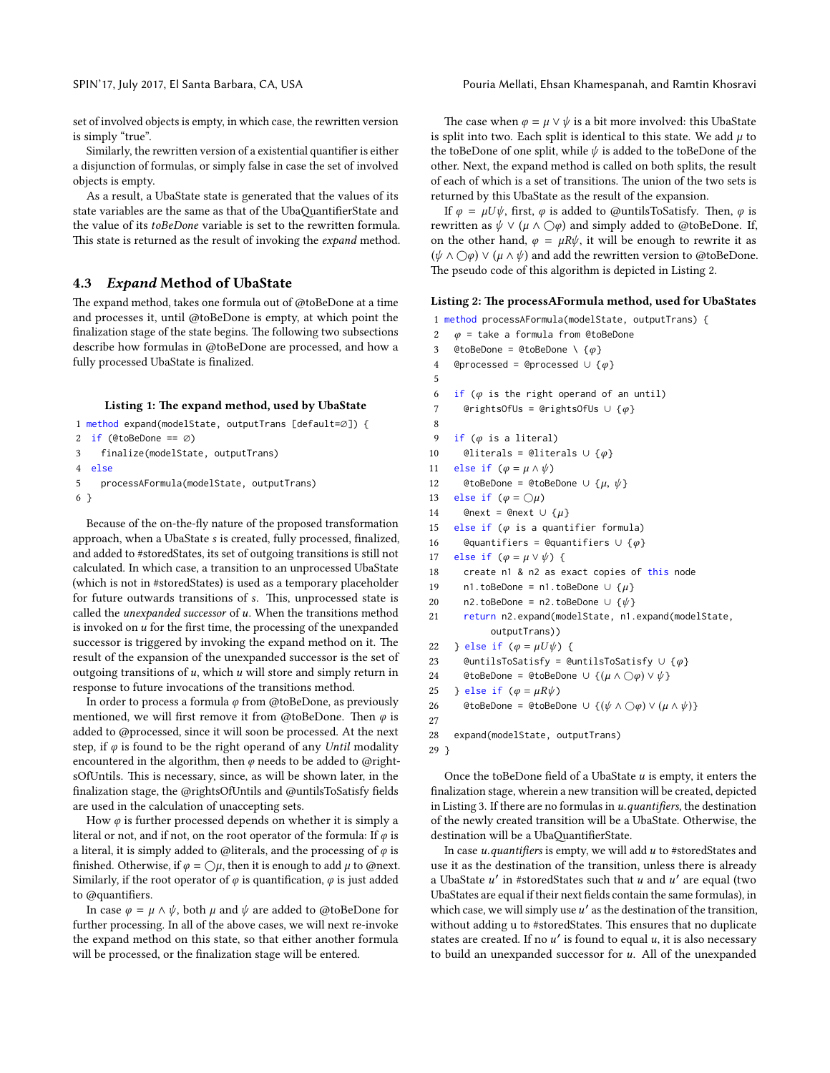set of involved objects is empty, in which case, the rewritten version is simply "true".

Similarly, the rewritten version of a existential quantifier is either a disjunction of formulas, or simply false in case the set of involved objects is empty.

As a result, a UbaState state is generated that the values of its state variables are the same as that of the UbaQuantifierState and the value of its toBeDone variable is set to the rewritten formula. This state is returned as the result of invoking the *expand* method.

## 4.3 Expand Method of UbaState

The expand method, takes one formula out of @toBeDone at a time and processes it, until @toBeDone is empty, at which point the finalization stage of the state begins. The following two subsections describe how formulas in @toBeDone are processed, and how a fully processed UbaState is finalized.

#### <span id="page-3-1"></span>Listing 1: The expand method, used by UbaState

```
1 method expand(modelState, outputTrans [default=∅]) {
```
- 2 if (@toBeDone == ∅)
- 3 finalize(modelState, outputTrans)
- 4 else
- 5 processAFormula(modelState, outputTrans) 6 }

Because of the on-the-fly nature of the proposed transformation approach, when a UbaState s is created, fully processed, finalized, and added to #storedStates, its set of outgoing transitions is still not calculated. In which case, a transition to an unprocessed UbaState (which is not in #storedStates) is used as a temporary placeholder for future outwards transitions of s. This, unprocessed state is called the unexpanded successor of u. When the transitions method is invoked on  $u$  for the first time, the processing of the unexpanded successor is triggered by invoking the expand method on it. The result of the expansion of the unexpanded successor is the set of outgoing transitions of  $u$ , which  $u$  will store and simply return in response to future invocations of the transitions method.

In order to process a formula  $\varphi$  from @toBeDone, as previously mentioned, we will first remove it from @toBeDone. Then  $\varphi$  is added to @processed, since it will soon be processed. At the next step, if  $\varphi$  is found to be the right operand of any Until modality encountered in the algorithm, then  $\varphi$  needs to be added to @rightsOfUntils. This is necessary, since, as will be shown later, in the finalization stage, the @rightsOfUntils and @untilsToSatisfy fields are used in the calculation of unaccepting sets.

How  $\varphi$  is further processed depends on whether it is simply a literal or not, and if not, on the root operator of the formula: If  $\varphi$  is a literal, it is simply added to @literals, and the processing of  $\varphi$  is finished. Otherwise, if  $\varphi = \bigcirc \mu$ , then it is enough to add  $\mu$  to @next. Similarly, if the root operator of  $\varphi$  is quantification,  $\varphi$  is just added to @quantifiers.

In case  $\varphi = \mu \wedge \psi$ , both  $\mu$  and  $\psi$  are added to @toBeDone for further processing. In all of the above cases, we will next re-invoke the expand method on this state, so that either another formula will be processed, or the finalization stage will be entered.

The case when  $\varphi = \mu \vee \psi$  is a bit more involved: this UbaState is split into two. Each split is identical to this state. We add  $\mu$  to the toBeDone of one split, while  $\psi$  is added to the toBeDone of the other. Next, the expand method is called on both splits, the result of each of which is a set of transitions. The union of the two sets is returned by this UbaState as the result of the expansion.

If  $\varphi = \mu U \psi$ , first,  $\varphi$  is added to @untilsToSatisfy. Then,  $\varphi$  is rewritten as  $\psi \lor (\mu \land \bigcirc \varphi)$  and simply added to @toBeDone. If, on the other hand,  $\varphi = \mu R \psi$ , it will be enough to rewrite it as  $(\psi \land \bigcirc \varphi) \lor (\mu \land \psi)$  and add the rewritten version to @toBeDone. The pseudo code of this algorithm is depicted in Listing [2.](#page-3-0)

#### <span id="page-3-0"></span>Listing 2: The processAFormula method, used for UbaStates

```
1 method processAFormula(modelState, outputTrans) {
```
- 2  $\varphi$  = take a formula from @toBeDone<br>3 @toBeDone = @toBeDone \ { @ }
- 
- 3 @toBeDone = @toBeDone \  $\{\varphi\}$ <br>4 @nrocessed = @nrocessed U { @processed = @processed  $\cup$  { $\varphi$ } 5 6 if ( $\varphi$  is the right operand of an until)<br>7 erightsOfUs = erightsOfUs U { $\varphi$ } @rightsOfUs = @rightsOfUs  $\cup$  { $\varphi$ } 8 9 if  $(\varphi$  is a literal)<br>10 0literals = 0liter 10 @literals = @literals ∪ { $\varphi$ }<br>11 else if ( $\varphi = u \wedge \psi$ ) 11 else if  $(\varphi = \mu \land \psi)$ <br>12 @toBeDone = @toBe 12 @toBeDone = @toBeDone ∪ { $\mu$ ,  $\psi$ }<br>13 else if ( $\omega$  =  $\bigcap \nu$ ) 13 else if  $(\varphi = \bigcirc \mu)$ <br>14 Gnext = Gnext U 14 @next = @next ∪ { $\mu$ }<br>15 else if ( $\omega$  is a quant 15 else if ( $\varphi$  is a quantifier formula)<br>16 @quantifiers = @quantifiers  $\cup$  { $\varphi$ } 16 @quantifiers = @quantifiers ∪ { $\varphi$ }<br>17 else if ( $\varphi = \mu \vee \psi$ ) { 17 else if  $(\varphi = \mu \vee \psi)$  {<br>18 create n1 & n2 as e create n1 & n2 as exact copies of this node 19 n1.toBeDone = n1.toBeDone ∪ { $\mu$ }<br>20 n2.toBeDone = n2.toBeDone ∪ { $\psi$ } 20 n2.toBeDone = n2.toBeDone ∪  $\{\psi\}$ <br>21 noturn n2 expand(modelState n1 return n2.expand(modelState, n1.expand(modelState, outputTrans)) 22 } else if  $(\varphi = \mu U \psi)$  {<br>23 @untilsToSatisfy = @u 23 @untilsToSatisfy = @untilsToSatisfy ∪ { $\varphi$ }<br>24 @toBeDone = @toBeDone ∪ {( $\mu \wedge \bigcirc \varphi$ ) ∨  $\psi$ } 24 @toBeDone = @toBeDone ∪ { $(\mu \land \bigcirc \varphi) \lor \psi$ }<br>25 \ else if  $(g = \mu R \psi)$
- 25 } else if  $(\varphi = \mu R \psi)$ <br>26 @toBeDone = @toBeD
- @toBeDone = @toBeDone ∪ {( $\psi \land \bigcirc \varphi$ ) ∨  $(\mu \land \psi)$ }
- 27
- 28 expand(modelState, outputTrans)

```
29 }
```
Once the toBeDone field of a UbaState  $u$  is empty, it enters the nalization stage, wherein a new transition will be created, depicted in Listing [3.](#page-4-0) If there are no formulas in  $u$ . quantifiers, the destination of the newly created transition will be a UbaState. Otherwise, the destination will be a UbaQuantifierState.

In case  $u$ . quantifiers is empty, we will add  $u$  to #storedStates and use it as the destination of the transition, unless there is already a UbaState  $u'$  in #storedStates such that  $u$  and  $u'$  are equal (two UbaStates are equal if their next fields contain the same formulas) in UbaStates are equal if their next fields contain the same formulas), in which case, we will simply use  $u'$  as the destination of the transition, without adding u to #storedStates. This ensures that no duplicate without adding u to #storedStates. This ensures that no duplicate states are created. If no  $u'$  is found to equal  $u$ , it is also necessary<br>to build an unexpanded successor for  $u$ , All of the unexpanded to build an unexpanded successor for  $u$ . All of the unexpanded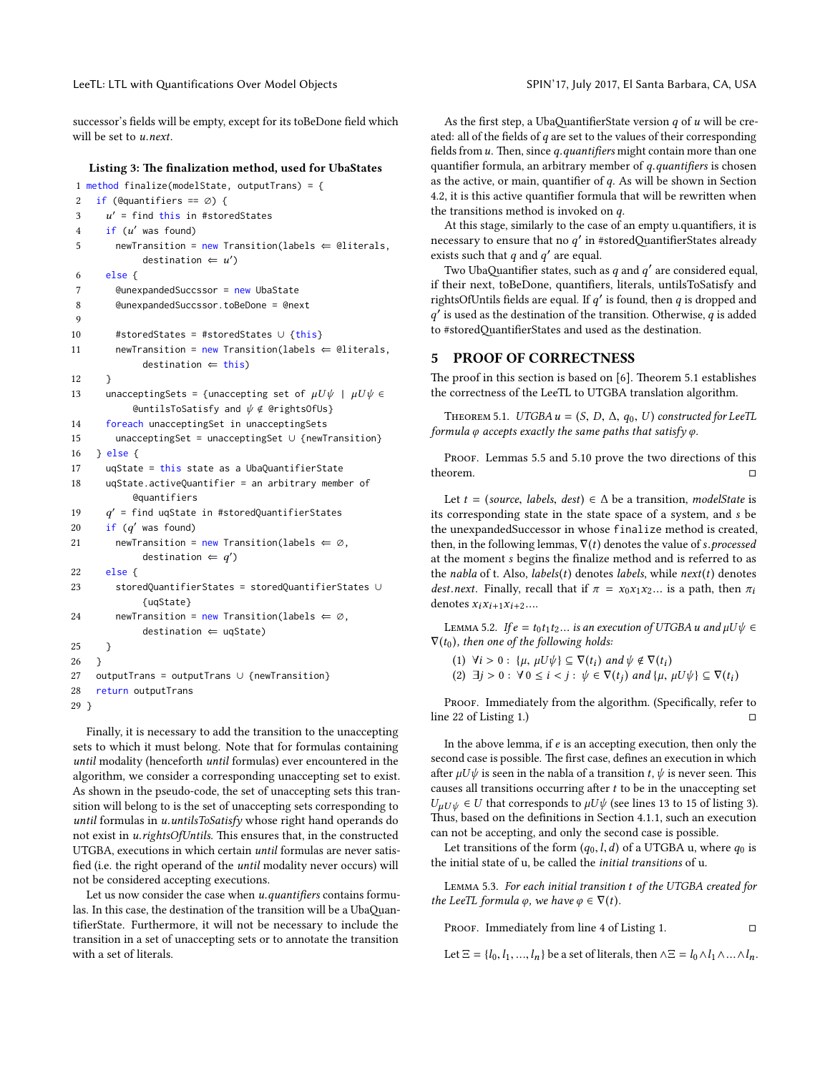successor's fields will be empty, except for its toBeDone field which will be set to <sup>u</sup>.next.

#### <span id="page-4-0"></span>Listing 3: The finalization method, used for UbaStates

```
1 method finalize(modelState, outputTrans) = {
2 if (@quantifiers == \varnothing) {
 u' = \text{find this in #storedStates}\frac{4}{5} if (u' was found)
5 newTransition = new Transition(labels \Leftarrow @literals,
              destination \Leftarrow u')
6 else {
7 @unexpandedSuccssor = new UbaState
8 @unexpandedSuccssor.toBeDone = @next
\overline{Q}10 #storedStates = #storedStates ∪ {this}
11 newTransition = new Transition(labels \Leftarrow @literals,
             \text{destination} \leftarrow \text{this}12   }
13 unacceptingSets = {unaccepting set of \mu U\psi | \mu U\psi \inQuntilsToSatisfy and \psi \notin @rightsOfUs}
14 foreach unacceptingSet in unacceptingSets
15 unacceptingSet = unacceptingSet ∪ {newTransition}
16 } else {
17 uqState = this state as a UbaQuantifierState
18 uqState.activeQuantifier = an arbitrary member of
            @quantifiers
19 q' = find uqState in #storedQuantifierStates
20 if (q' was found)
21 newTransition = new Transition(labels \Leftarrow \emptyset,
              destination \Leftarrow q')
22 else {
23 storedQuantifierStates = storedQuantifierStates ∪
             {uqState}
24 newTransition = new Transition(labels \Leftarrow \emptyset,
             destination \Leftarrow uqState)25 }
26 }
27 outputTrans = outputTrans ∪ {newTransition}
28 return outputTrans
29 }
```
Finally, it is necessary to add the transition to the unaccepting sets to which it must belong. Note that for formulas containing until modality (henceforth until formulas) ever encountered in the algorithm, we consider a corresponding unaccepting set to exist. As shown in the pseudo-code, the set of unaccepting sets this transition will belong to is the set of unaccepting sets corresponding to until formulas in u.untilsToSatisfy whose right hand operands do not exist in u.rightsOfUntils. This ensures that, in the constructed UTGBA, executions in which certain until formulas are never satis fied (i.e. the right operand of the *until* modality never occurs) will not be considered accepting executions.

Let us now consider the case when  $u$ . quantifiers contains formulas. In this case, the destination of the transition will be a UbaQuantifierState. Furthermore, it will not be necessary to include the transition in a set of unaccepting sets or to annotate the transition with a set of literals.

As the first step, a UbaQuantifierState version  $q$  of  $u$  will be created: all of the fields of  $q$  are set to the values of their corresponding fields from  $u$ . Then, since  $q$ . quantifiers might contain more than one quantifier formula, an arbitrary member of  $q$ . quantifiers is chosen as the active, or main, quantifier of  $q$ . As will be shown in Section [4.2,](#page-2-2) it is this active quantifier formula that will be rewritten when the transitions method is invoked on q.

At this stage, similarly to the case of an empty u.quantifiers, it is necessary to ensure that no  $q'$  in #storedQuantifierStates already exists such that q and q' are equal.

Two UbaQuantifier states, such as  $q$  and  $q'$  are considered equal, their next to BeDone, quantifiers, literals, untils To Satisfy and if their next, toBeDone, quantifiers, literals, untilsToSatisfy and rightsOfUntils fields are equal. If  $q'$  is found, then q is dropped and  $q'$  is used as the destination of the transition. Otherwise, q is added q as more as the destimated by the maintaining entity. If is used as the destination of the transition. Otherwise,  $\hat{q}$  is added<br>a strategy untifier states and used as the destination

## 5 PROOF OF CORRECTNESS

The proof in this section is based on  $[6]$ . Theorem [5.1](#page-4-1) establishes the correctness of the LeeTL to UTGBA translation algorithm.

<span id="page-4-1"></span>THEOREM 5.1. UTGBA  $u = (S, D, \Delta, q_0, U)$  constructed for LeeTL formula  $\varphi$  accepts exactly the same paths that satisfy  $\varphi$ .

PROOF. Lemmas [5.5](#page-5-0) and [5.10](#page-6-1) prove the two directions of this theorem.

Let  $t = (source, labels, dest) \in \Delta$  be a transition, modelState is its corresponding state in the state space of a system, and s be the unexpandedSuccessor in whose finalize method is created, then, in the following lemmas,  $\nabla(t)$  denotes the value of s. processed at the moment s begins the finalize method and is referred to as the nabla of t. Also, labels(t) denotes labels, while  $next(t)$  denotes *dest.next.* Finally, recall that if  $\pi = x_0x_1x_2...$  is a path, then  $\pi_i$ denotes  $x_i x_{i+1} x_{i+2} \ldots$ 

<span id="page-4-3"></span>LEMMA 5.2. If  $e = t_0t_1t_2...$  is an execution of UTGBA u and  $\mu U\psi \in$  $\nabla(t_0)$ , then one of the following holds:

- (1)  $\forall i > 0 : \{\mu, \mu U \psi\} \subseteq \nabla(t_i)$  and  $\psi \notin \nabla(t_i)$ <br>(2)  $\exists i > 0 : \forall 0 \le i \le i : \psi \in \nabla(t_i)$  and  $\psi$
- (2)  $\exists j > 0 : \forall 0 \le i < j : \psi \in \nabla(t_j)$  and  $\{\mu, \mu U \psi\} \subseteq \nabla(t_i)$

PROOF. Immediately from the algorithm. (Specifically, refer to line 22 of Listing [1.](#page-3-1))

In the above lemma, if  $e$  is an accepting execution, then only the second case is possible. The first case, defines an execution in which after  $\mu U \psi$  is seen in the nabla of a transition t,  $\psi$  is never seen. This causes all transitions occurring after  $t$  to be in the unaccepting set  $U_{\mu U \psi} \in U$  that corresponds to  $\mu U \psi$  (see lines 13 to 15 of listing [3\)](#page-4-0). Thus, based on the definitions in Section [4.1.1,](#page-2-3) such an execution can not be accepting, and only the second case is possible.

Let transitions of the form  $(q_0, l, d)$  of a UTGBA u, where  $q_0$  is the initial state of u, be called the initial transitions of u.

<span id="page-4-2"></span>Lemma 5.3. For each initial transition t of the UTGBA created for the LeeTL formula  $\varphi$ , we have  $\varphi \in \nabla(t)$ .

PROOF. Immediately from line 4 of Listing [1.](#page-3-1)  $\Box$ 

Let  $\Xi = \{l_0, l_1, ..., l_n\}$  be a set of literals, then  $\wedge \Xi = l_0 \wedge l_1 \wedge ... \wedge l_n$ .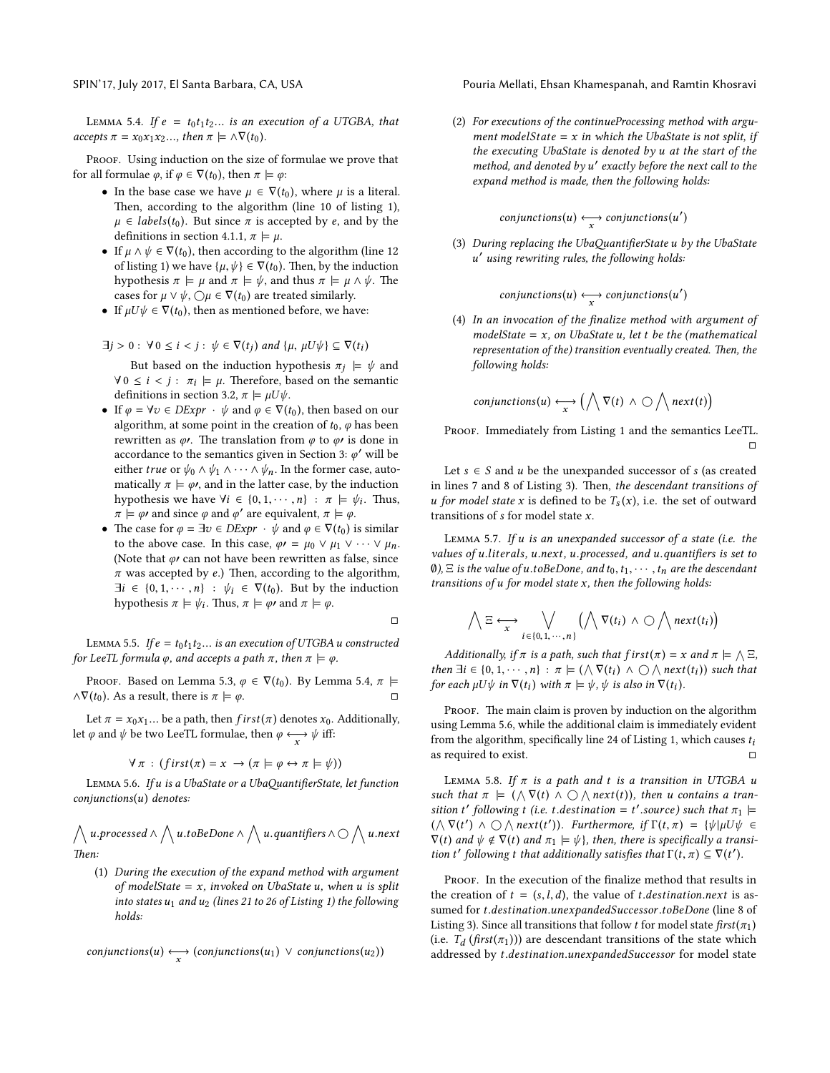<span id="page-5-1"></span>LEMMA 5.4. If  $e = t_0 t_1 t_2 ...$  is an execution of a UTGBA, that accepts  $\pi = x_0 x_1 x_2 \dots$ , then  $\pi \models \land \nabla(t_0)$ .

PROOF. Using induction on the size of formulae we prove that for all formulae  $\varphi$ , if  $\varphi \in \nabla(t_0)$ , then  $\pi \models \varphi$ :

- In the base case we have  $\mu \in \nabla(t_0)$ , where  $\mu$  is a literal. Then, according to the algorithm (line 10 of listing [1\)](#page-3-1),  $\mu \in \text{labels}(t_0)$ . But since  $\pi$  is accepted by e, and by the definitions in section [4.1.1,](#page-2-3)  $\pi \models \mu$ .
- If  $\mu \wedge \psi \in \nabla(t_0)$ , then according to the algorithm (line 12 of listing [1\)](#page-3-1) we have  $\{\mu, \psi\} \in \nabla(t_0)$ . Then, by the induction hypothesis  $\pi \models \mu$  and  $\pi \models \psi$ , and thus  $\pi \models \mu \land \psi$ . The cases for  $\mu \lor \psi$ ,  $\bigcirc \mu \in \nabla(t_0)$  are treated similarly.
- If  $\mu U \psi \in \nabla(t_0)$ , then as mentioned before, we have:

 $\exists j > 0 : \forall 0 \leq i < j : \psi \in \nabla(t_j) \text{ and } \{\mu, \mu U \psi\} \subseteq \nabla(t_i)$ 

But based on the induction hypothesis  $\pi_j \models \psi$  and  $\forall 0 \le i < j : \pi_i \models \mu$ . Therefore, based on the semantic definitions in section 3.2  $\pi \models \mu I J \psi$ definitions in section [3.2,](#page-1-1)  $\pi \models \mu U \psi$ .

- If  $\varphi = \forall \nu \in D\mathbb{E}$ *xpr* ·  $\psi$  and  $\varphi \in \nabla(t_0)$ , then based on our algorithm, at some point in the creation of  $t_0$ ,  $\varphi$  has been rewritten as  $\varphi$ . The translation from  $\varphi$  to  $\varphi$  is done in accordance to the semantics given in Section [3:](#page-1-0)  $\varphi'$  will be either true or  $\psi_0 \wedge \psi_0 \wedge \cdots \wedge \psi_n$ . In the former case autoeither *true* or  $\psi_0 \wedge \psi_1 \wedge \cdots \wedge \psi_n$ . In the former case, automatically  $\pi \models \varphi$ , and in the latter case, by the induction hypothesis we have  $\forall i \in \{0, 1, \dots, n\} : \pi \models \psi_i$ . Thus,  $\pi \models \varphi$  and since  $\varphi$  and  $\varphi'$  are equivalent,  $\pi \models \varphi$ .<br>The case for  $\varphi = \exists \tau \in DExpr$ ,  $\psi$  and  $\varphi \in \nabla f(x)$
- The case for  $\varphi = \exists v \in DExpr \cdot \psi$  and  $\varphi \in \nabla(t_0)$  is similar to the above case. In this case,  $\varphi = \mu_0 \vee \mu_1 \vee \cdots \vee \mu_n$ . (Note that  $\varphi$  can not have been rewritten as false, since  $\pi$  was accepted by  $e$ .) Then, according to the algorithm,  $\exists i \in \{0, 1, \dots, n\} : \psi_i \in \nabla(t_0)$ . But by the induction hypothesis  $\pi \models \psi_i$ . Thus,  $\pi \models \varphi$  and  $\pi \models \varphi$ .

 $\Box$ 

<span id="page-5-0"></span>LEMMA 5.5. If  $e = t_0t_1t_2...$  is an execution of UTGBA u constructed for LeeTL formula  $\varphi$ , and accepts a path  $\pi$ , then  $\pi \models \varphi$ .

PROOF. Based on Lemma [5.3,](#page-4-2)  $\varphi \in \nabla(t_0)$ . By Lemma [5.4,](#page-5-1)  $\pi \models \nabla(t_0)$ . As a result, there is  $\pi \models \varphi$ .  $\wedge \nabla(t_0)$ . As a result, there is  $\pi \models \varphi$ .

Let  $\pi = x_0 x_1 ...$  be a path, then  $first(\pi)$  denotes  $x_0$ . Additionally, let  $\varphi$  and  $\psi$  be two LeeTL formulae, then  $\varphi \longleftrightarrow \psi$  iff:

$$
\forall \pi : (first(\pi) = x \rightarrow (\pi \models \varphi \leftrightarrow \pi \models \psi))
$$

<span id="page-5-2"></span>LEMMA 5.6. If  $u$  is a UbaState or a UbaQuantifierState, let function conjunctions(u) denotes:

 $\bigwedge u.\textit{processed} \land \bigwedge u.\textit{toBeDone} \land \bigwedge u.\textit{quantifiers} \land \bigcirc \bigwedge u.\textit{next}$ Then:

(1) During the execution of the expand method with argument of modelState =  $x$ , invoked on UbaState  $u$ , when  $u$  is split into states  $u_1$  and  $u_2$  (lines 21 to 26 of Listing [1\)](#page-3-1) the following holds:

*conjunctions*(*u*) 
$$
\longleftrightarrow
$$
 (*conjunctions*(*u*<sub>1</sub>)  $\lor$  *conjunctions*(*u*<sub>2</sub>))

SPIN'17, July 2017, El Santa Barbara, CA, USA Pouria Mellati, Ehsan Khamespanah, and Ramtin Khosravi

(2) For executions of the continueProcessing method with argument modelState =  $x$  in which the UbaState is not split, if the executing UbaState is denoted by u at the start of the method, and denoted by  $u'$  exactly before the next call to the expand method is made, then the following holds: expand method is made, then the following holds:

> $conjunctions(u) \longleftrightarrow conjunctions(u)$  $\overline{\phantom{0}}$  $\overline{a}$

(3) During replacing the UbaQuantifierState  $u$  by the UbaState u <sup>0</sup> using rewriting rules, the following holds:

> $conjunctions(u) \longleftrightarrow conjunctions(u)$  $\overline{\phantom{0}}$  $\overline{a}$

 $(4)$  In an invocation of the finalize method with argument of modelState =  $x$ , on UbaState  $u$ , let  $t$  be the (mathematical representation of the) transition eventually created. Then, the following holds:

*conjunctions(u)* 
$$
\longleftrightarrow
$$
  $(\bigwedge \nabla(t) \wedge \bigcirc \bigwedge next(t))$ 

PROOF. Immediately from Listing [1](#page-3-1) and the semantics LeeTL.  $\Box$ 

Let  $s \in S$  and  $u$  be the unexpanded successor of s (as created in lines 7 and 8 of Listing [3\)](#page-4-0). Then, the descendant transitions of u for model state x is defined to be  $T_s(x)$ , i.e. the set of outward transitions of s for model state x.

<span id="page-5-3"></span>Lemma 5.7. If u is an unexpanded successor of a state (i.e. the values of  $u$ .literals,  $u.next$ ,  $u.$  processed, and  $u.$  quantifiers is set to  $\emptyset$ ),  $\Xi$  is the value of u.toBeDone, and  $t_0, t_1, \dots, t_n$  are the descendant transitions of  $u$  for model state  $x$ , then the following holds:

$$
\bigwedge \Xi \longleftrightarrow \bigvee_{i \in \{0,1,\cdots,n\}} \bigl(\bigwedge \nabla(t_i) \wedge \bigcirc \bigwedge next(t_i)\bigr)
$$

Additionally, if  $\pi$  is a path, such that  $first(\pi) = x$  and  $\pi \models \bigwedge \Xi$ ,<br> $\text{and } \pi \models \bigwedge 1$ ,  $\ldots$ ,  $\text{and } \pi \models (\bigwedge \nabla f) \land \bigwedge \text{next}(f))$  such that then  $\exists i \in \{0, 1, \dots, n\} : \pi \models (\bigwedge \nabla(t_i) \wedge \bigcirc \bigwedge \text{next}(t_i))$  such that<br>for each uLlk in  $\nabla(t_i)$  with  $\pi \models \psi \, \psi$  is also in  $\nabla(t_i)$ for each  $\mu U \psi$  in  $\nabla(t_i)$  with  $\pi \models \psi, \psi$  is also in  $\nabla(t_i)$ .

PROOF. The main claim is proven by induction on the algorithm using Lemma [5.6,](#page-5-2) while the additional claim is immediately evident from the algorithm, specifically line 24 of Listing [1,](#page-3-1) which causes  $t_i$  as required to exist. as required to exist.

<span id="page-5-4"></span>LEMMA 5.8. If  $\pi$  is a path and t is a transition in UTGBA u such that  $\pi \models (\land \nabla(t) \land \bigcirc \land next(t)),$  then u contains a tran-<br>sition t' following t (i.e. t destination – t' source) such that  $\pi_{\alpha} \models$ sition t' following t (i.e. t.destination = t' source) such that  $\pi_1 \models$ <br> $(\land \nabla(f') \land \bigcirc \land \text{next}(f'))$  Eurthermore, if  $\Gamma(t, \pi) = \frac{f_1}{\prod_{i=1}^k \prod_{j=1}^k \pi_i}$  $\nabla(t)$  and  $\psi \notin \nabla(t)$  and  $\pi_1 \models \psi$ , then, there is specifically a transition  $t'$  following t that additionally satisfies that  $\Gamma(t, \pi) \subset \nabla(t')$ .  $\bigwedge_{\mathcal{A}} \nabla(t') \wedge \bigcirc \bigwedge_{\mathcal{A}} \text{next}(t')\big)$ . Furthermore, if  $\Gamma(t, \pi) = \{ \psi | \mu U \psi \in \mathcal{A}(t) \text{ and } \psi \notin \nabla(t) \text{ and } \pi_t \models \psi \}$  then there is specifically a transity tion t' following t that additionally satisfies that  $\Gamma(t, \pi) \subseteq \nabla(t')$ .

PROOF. In the execution of the finalize method that results in the creation of  $t = (s, l, d)$ , the value of *t.destination.next* is assumed for t.destination.unexpandedSuccessor.toBeDone (line 8 of Listing [3\)](#page-4-0). Since all transitions that follow t for model state  $first(\pi_1)$ (i.e.  $\overline{T}_d$  (first( $\pi_1$ ))) are descendant transitions of the state which<br>addressed by t destination unexpanded Successor for model state addressed by t.destination.unexpandedSuccessor for model state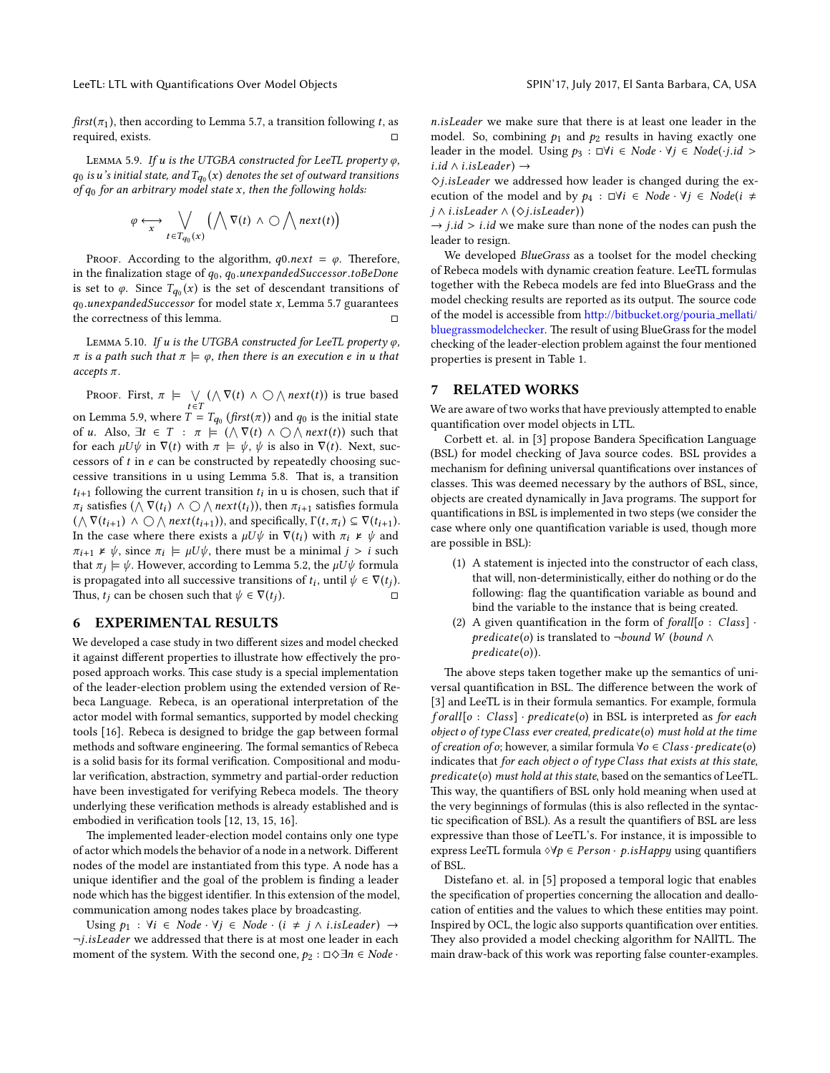$first(\pi_1)$ , then according to Lemma [5.7,](#page-5-3) a transition following t, as required, exists.

<span id="page-6-2"></span>LEMMA 5.9. If u is the UTGBA constructed for LeeTL property  $\varphi$ ,  $q_0$  is u's initial state, and  $T_{q_0}(x)$  denotes the set of outward transitions<br>of  $q_0$  for an arbitrary model state x, then the following holds: of  $q_0$  for an arbitrary model state x, then the following holds:

$$
\varphi \longleftrightarrow \bigvee_{t \in T_{q_0}(x)} \left( \bigwedge \nabla(t) \wedge \bigcirc \bigwedge \text{next}(t) \right)
$$

PROOF. According to the algorithm,  $q0.next = \varphi$ . Therefore, in the finalization stage of  $q_0$ ,  $q_0$ .unexpandedSuccessor.toBeDone is set to  $\varphi$ . Since  $T_{q_0}(x)$  is the set of descendant transitions of q<sub>0</sub>.unexpandedSuccessor for model state x, Lemma [5.7](#page-5-3) guarantees<br>the correctness of this lemma the correctness of this lemma.

<span id="page-6-1"></span>LEMMA 5.10. If u is the UTGBA constructed for LeeTL property  $\varphi$ ,  $π$  is a path such that  $π$   $\models φ$ , then there is an execution e in u that accepts  $\pi$ .

Proof. First,  $\pi \models \bigvee_{t \in \mathbb{I}}$  $\bigvee_{t \in T} (\bigwedge_{t \in T} \nabla(t) \wedge \bigcirc \bigwedge_{t \in T} next(t))$  is true based  $T = T_c$  (first( $\pi$ )) and  $g_0$  is the initial state on Lemma [5.9,](#page-6-2) where  $\overline{T} = T_{q_0} (\text{first}(\pi))$  and  $q_0$  is the initial state<br>of  $u = \text{Also } \exists t \in T : \pi \models (\land \nabla(t) \land \bigcirc \land \text{next}(t))$  such that of u. Also,  $\exists t \in T : \pi \models (\land \nabla(t) \land \bigcirc \land next(t))$  such that<br>for each uII<sup>h</sup> in  $\nabla(t)$  with  $\pi \models \psi \psi$  is also in  $\nabla(t)$ . Next, such for each  $\mu U \psi$  in  $\nabla(t)$  with  $\pi \models \psi, \psi$  is also in  $\nabla(t)$ . Next, successors of t in e can be constructed by repeatedly choosing suc-cessive transitions in u using Lemma [5.8.](#page-5-4) That is, a transition  $t_{i+1}$  following the current transition  $t_i$  in u is chosen, such that if  $\pi$ : satisfies  $(\wedge \nabla(t)) \wedge (\wedge \wedge \nabla(t)))$  then  $\pi_{i,t}$  satisfies formula  $\pi_i$  satisfies  $(\bigwedge \nabla(t_i) \land \bigcirc \bigwedge \text{next}(t_i))$ , then  $\pi_{i+1}$  satisfies formula<br> $(\bigwedge \nabla(t_i, t) \land \bigcirc \bigwedge \text{next}(t_i, t))$  and specifically  $\Gamma(t, \pi) \subseteq \nabla(t_i, t)$  $\bigwedge \nabla(t_{i+1}) \wedge \bigcirc \bigwedge \nvert (2t+1) \bigwedge$ , and specifically,  $\Gamma(t, \pi_i) \subseteq \nabla(t_{i+1})$ .<br>  $\bigwedge$  the case where there exists a *uIIsk* in  $\nabla(t_1)$  with  $\pi \in \mathbb{Z}^d$  and (In the case where there exists a  $\mu U \psi$  in  $\nabla(t_i)$ ) with  $\pi_i \nvDash \psi$  and<br>  $\pi_{i \to \ell} \nvDash \psi$  since  $\pi_{i \to \ell}$  with  $\pi_i$  with  $\pi_i \nvDash \psi$  and  $\pi_{i+1} \neq \psi$ , since  $\pi_i \models \mu U \psi$ , there must be a minimal  $j > i$  such that  $\pi_i \models \psi$ . However, according to Lemma 5.2, the  $\mu U \psi$  formula that  $\pi_j \models \psi$ . However, according to Lemma [5.2,](#page-4-3) the  $\mu U \psi$  formula<br>is proporated into all successive transitions of ty until  $\psi \in \nabla(t)$ . is propagated into all successive transitions of  $t_i$ , until  $\psi \in \nabla(t_j)$ .<br>Thus  $t_i$  can be chosen such that  $\psi \in \nabla(t_i)$ . Thus,  $t_j$  can be chosen such that  $\psi \in \nabla(t_j)$ .  $\Box$ ).

#### <span id="page-6-0"></span>6 EXPERIMENTAL RESULTS

We developed a case study in two different sizes and model checked it against different properties to illustrate how effectively the proposed approach works. This case study is a special implementation of the leader-election problem using the extended version of Rebeca Language. Rebeca, is an operational interpretation of the actor model with formal semantics, supported by model checking tools [\[16\]](#page-8-1). Rebeca is designed to bridge the gap between formal methods and software engineering. The formal semantics of Rebeca is a solid basis for its formal verification. Compositional and modular verification, abstraction, symmetry and partial-order reduction have been investigated for verifying Rebeca models. The theory underlying these verification methods is already established and is embodied in verification tools [\[12,](#page-7-10) [13,](#page-7-11) [15,](#page-7-12) [16\]](#page-8-1).

The implemented leader-election model contains only one type of actor which models the behavior of a node in a network. Different nodes of the model are instantiated from this type. A node has a unique identifier and the goal of the problem is finding a leader node which has the biggest identifier. In this extension of the model, communication among nodes takes place by broadcasting.

Using  $p_1 : \forall i \in Node \cdot \forall j \in Node \cdot (i \neq j \land i.isLeader) \rightarrow$  $\neg$ *j.isLeader* we addressed that there is at most one leader in each moment of the system. With the second one,  $p_2 : \Box \Diamond \exists n \in Node \cdot$ 

n.isLeader we make sure that there is at least one leader in the model. So, combining  $p_1$  and  $p_2$  results in having exactly one leader in the model. Using  $p_3 : \Box \forall i \in Node \cdot \forall j \in Node \cdot j.id >$  $i.id \land i.isLeader) \rightarrow$ 

 $\Diamond$ *j.isLeader* we addressed how leader is changed during the execution of the model and by  $p_4 : \Box \forall i \in Node \cdot \forall j \in Node(i \neq j)$  $j \wedge i.isLeader \wedge (\lozenge j.isLeader))$ 

 $\rightarrow$  *j.id* > *i.id* we make sure than none of the nodes can push the leader to resign.

We developed BlueGrass as a toolset for the model checking of Rebeca models with dynamic creation feature. LeeTL formulas together with the Rebeca models are fed into BlueGrass and the model checking results are reported as its output. The source code of the model is accessible from http://bitbucket.org/pouria\_mellati/ [bluegrassmodelchecker.](http://bitbucket.org/pouria_mellati/bluegrassmodelchecker) The result of using BlueGrass for the model checking of the leader-election problem against the four mentioned properties is present in Table [1.](#page-7-13)

#### 7 RELATED WORKS

We are aware of two works that have previously attempted to enable quantification over model objects in LTL.

Corbett et. al. in [\[3\]](#page-7-4) propose Bandera Specification Language (BSL) for model checking of Java source codes. BSL provides a mechanism for defining universal quantifications over instances of classes. This was deemed necessary by the authors of BSL, since, objects are created dynamically in Java programs. The support for quantifications in BSL is implemented in two steps (we consider the case where only one quantification variable is used, though more are possible in BSL):

- (1) A statement is injected into the constructor of each class, that will, non-deterministically, either do nothing or do the following: flag the quantification variable as bound and bind the variable to the instance that is being created.
- (2) A given quantification in the form of forall  $[0 : Class]$ .  $predicate(o)$  is translated to ¬bound W (bound  $\wedge$  $predicate(o)$ ).

The above steps taken together make up the semantics of universal quantification in BSL. The difference between the work of [\[3\]](#page-7-4) and LeeTL is in their formula semantics. For example, formula  $for all [o: Class] \cdot predicate(o)$  in BSL is interpreted as for each object o of type Class ever created, predicate(o) must hold at the time of creation of o; however, a similar formula  $\forall o \in Class \cdot predicate(o)$ indicates that for each object o of type Class that exists at this state, predicate (o) must hold at this state, based on the semantics of LeeTL. This way, the quantifiers of BSL only hold meaning when used at the very beginnings of formulas (this is also reflected in the syntactic specification of BSL). As a result the quantifiers of BSL are less expressive than those of LeeTL's. For instance, it is impossible to express LeeTL formula  $\Diamond \forall p \in Person \cdot p.isHappy$  using quantifiers of BSL.

Distefano et. al. in [\[5\]](#page-7-14) proposed a temporal logic that enables the specification of properties concerning the allocation and deallocation of entities and the values to which these entities may point. Inspired by OCL, the logic also supports quantification over entities. They also provided a model checking algorithm for NAllTL. The main draw-back of this work was reporting false counter-examples.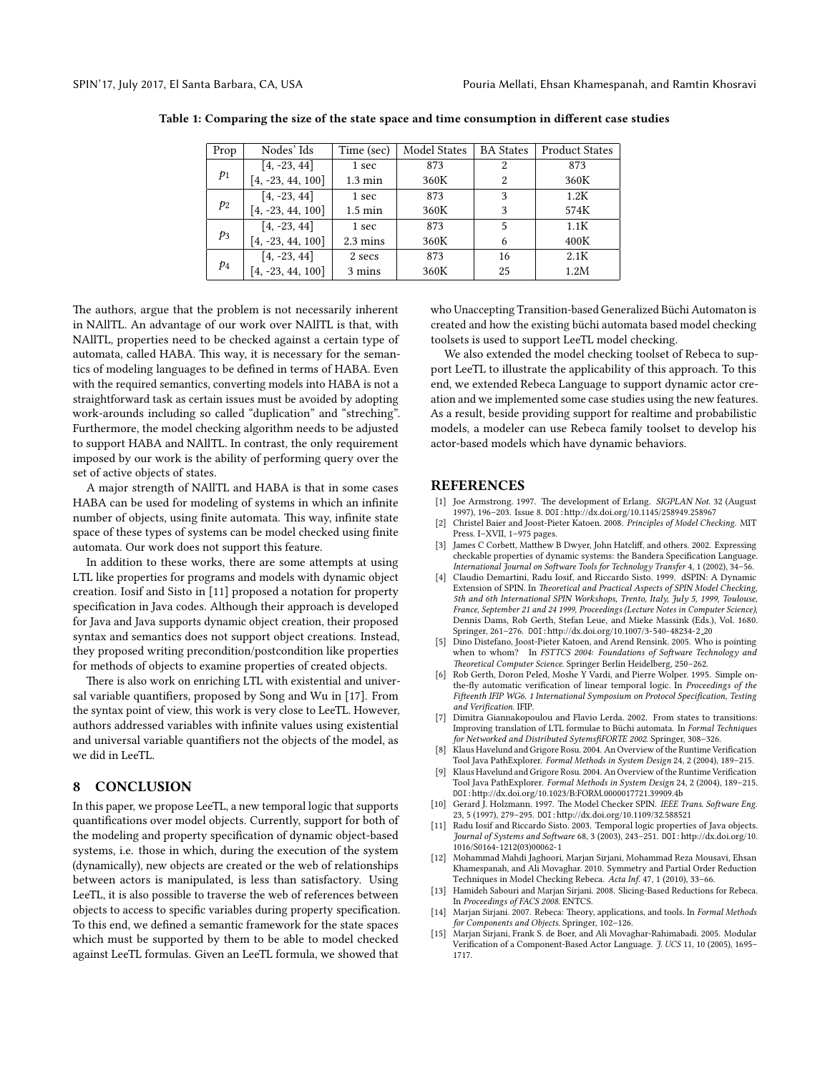| Prop           | Nodes' Ids          | Time (sec)         | Model States | <b>BA</b> States | <b>Product States</b> |
|----------------|---------------------|--------------------|--------------|------------------|-----------------------|
| p <sub>1</sub> | $[4, -23, 44]$      | 1 sec              | 873          | 2                | 873                   |
|                | $[4, -23, 44, 100]$ | $1.3 \text{ min}$  | 360K         | 2                | 360K                  |
| $p_2$          | $[4, -23, 44]$      | 1 sec              | 873          | 3                | 1.2K                  |
|                | $[4, -23, 44, 100]$ | $1.5 \text{ min}$  | 360K         | 3                | 574K                  |
| $p_3$          | $[4, -23, 44]$      | 1 sec              | 873          | 5                | 1.1K                  |
|                | $[4, -23, 44, 100]$ | $2.3 \text{ mins}$ | 360K         | 6                | 400K                  |
| p <sub>4</sub> | $[4, -23, 44]$      | 2 secs             | 873          | 16               | 2.1K                  |
|                | $[4, -23, 44, 100]$ | 3 mins             | 360K         | 25               | 1.2M                  |

<span id="page-7-13"></span>Table 1: Comparing the size of the state space and time consumption in different case studies

The authors, argue that the problem is not necessarily inherent in NAllTL. An advantage of our work over NAllTL is that, with NAllTL, properties need to be checked against a certain type of automata, called HABA. This way, it is necessary for the semantics of modeling languages to be defined in terms of HABA. Even with the required semantics, converting models into HABA is not a straightforward task as certain issues must be avoided by adopting work-arounds including so called "duplication" and "streching". Furthermore, the model checking algorithm needs to be adjusted to support HABA and NAllTL. In contrast, the only requirement imposed by our work is the ability of performing query over the set of active objects of states.

A major strength of NAllTL and HABA is that in some cases HABA can be used for modeling of systems in which an infinite number of objects, using finite automata. This way, infinite state space of these types of systems can be model checked using finite automata. Our work does not support this feature.

In addition to these works, there are some attempts at using LTL like properties for programs and models with dynamic object creation. Iosif and Sisto in [\[11\]](#page-7-15) proposed a notation for property specification in Java codes. Although their approach is developed for Java and Java supports dynamic object creation, their proposed syntax and semantics does not support object creations. Instead, they proposed writing precondition/postcondition like properties for methods of objects to examine properties of created objects.

There is also work on enriching LTL with existential and univer-sal variable quantifiers, proposed by Song and Wu in [\[17\]](#page-8-2). From the syntax point of view, this work is very close to LeeTL. However, authors addressed variables with infinite values using existential and universal variable quantifiers not the objects of the model, as we did in LeeTL.

#### 8 CONCLUSION

In this paper, we propose LeeTL, a new temporal logic that supports quantifications over model objects. Currently, support for both of the modeling and property specification of dynamic object-based systems, i.e. those in which, during the execution of the system (dynamically), new objects are created or the web of relationships between actors is manipulated, is less than satisfactory. Using LeeTL, it is also possible to traverse the web of references between objects to access to specific variables during property specification. To this end, we defined a semantic framework for the state spaces which must be supported by them to be able to model checked against LeeTL formulas. Given an LeeTL formula, we showed that

who Unaccepting Transition-based Generalized Büchi Automaton is created and how the existing büchi automata based model checking toolsets is used to support LeeTL model checking.

We also extended the model checking toolset of Rebeca to support LeeTL to illustrate the applicability of this approach. To this end, we extended Rebeca Language to support dynamic actor creation and we implemented some case studies using the new features. As a result, beside providing support for realtime and probabilistic models, a modeler can use Rebeca family toolset to develop his actor-based models which have dynamic behaviors.

#### REFERENCES

- <span id="page-7-3"></span>[1] Joe Armstrong. 1997. The development of Erlang. SIGPLAN Not. 32 (August 1997), 196–203. Issue 8. DOI:[hp://dx.doi.org/10.1145/258949.258967](http://dx.doi.org/10.1145/258949.258967)
- <span id="page-7-0"></span>[2] Christel Baier and Joost-Pieter Katoen. 2008. Principles of Model Checking. MIT Press. I–XVII, 1–975 pages.
- <span id="page-7-4"></span>[3] James C Corbett, Matthew B Dwyer, John Hatcliff, and others. 2002. Expressing checkable properties of dynamic systems: the Bandera Specification Language. International Journal on Software Tools for Technology Transfer 4, 1 (2002), 34-56.
- <span id="page-7-6"></span>[4] Claudio Demartini, Radu Iosif, and Riccardo Sisto. 1999. dSPIN: A Dynamic Extension of SPIN. In Theoretical and Practical Aspects of SPIN Model Checking, 5th and 6th International SPIN Workshops, Trento, Italy, July 5, 1999, Toulouse, France, September 21 and 24 1999, Proceedings (Lecture Notes in Computer Science), Dennis Dams, Rob Gerth, Stefan Leue, and Mieke Massink (Eds.), Vol. 1680. Springer, 261-276. DOI:http://dx.doi.org/10.1007/3-540-48234-2\_20
- <span id="page-7-14"></span>[5] Dino Distefano, Joost-Pieter Katoen, and Arend Rensink. 2005. Who is pointing when to whom? In FSTTCS 2004: Foundations of Software Technology and Theoretical Computer Science. Springer Berlin Heidelberg, 250-262.
- <span id="page-7-9"></span>[6] Rob Gerth, Doron Peled, Moshe Y Vardi, and Pierre Wolper. 1995. Simple onthe-fly automatic verification of linear temporal logic. In Proceedings of the Fifteenth IFIP WG6. 1 International Symposium on Protocol Specification, Testing and Verification. IFIP.
- <span id="page-7-8"></span>[7] Dimitra Giannakopoulou and Flavio Lerda. 2002. From states to transitions: Improving translation of LTL formulae to Büchi automata. In Formal Techniques for Networked and Distributed SytemsfiFORTE 2002. Springer, 308-326.
- <span id="page-7-2"></span>Klaus Havelund and Grigore Rosu. 2004. An Overview of the Runtime Verification Tool Java PathExplorer. Formal Methods in System Design 24, 2 (2004), 189–215.
- <span id="page-7-5"></span>[9] Klaus Havelund and Grigore Rosu. 2004. An Overview of the Runtime Verification Tool Java PathExplorer. Formal Methods in System Design 24, 2 (2004), 189–215. DOI:[hp://dx.doi.org/10.1023/B:FORM.0000017721.39909.4b](http://dx.doi.org/10.1023/B:FORM.0000017721.39909.4b)
- <span id="page-7-1"></span>[10] Gerard J. Holzmann. 1997. The Model Checker SPIN. IEEE Trans. Software Eng. 23, 5 (1997), 279-295. DOI: http://dx.doi.org/10.1109/32.588521
- <span id="page-7-15"></span>Radu Iosif and Riccardo Sisto. 2003. Temporal logic properties of Java objects. Journal of Systems and Software 68, 3 (2003), 243–251. DOI : http://dx.doi.org/10. [1016/S0164-1212\(03\)00062-1](http://dx.doi.org/10.1016/S0164-1212(03)00062-1)
- <span id="page-7-10"></span>[12] Mohammad Mahdi Jaghoori, Marjan Sirjani, Mohammad Reza Mousavi, Ehsan Khamespanah, and Ali Movaghar. 2010. Symmetry and Partial Order Reduction Techniques in Model Checking Rebeca. Acta Inf. 47, 1 (2010), 33–66.
- <span id="page-7-11"></span>[13] Hamideh Sabouri and Marjan Sirjani. 2008. Slicing-Based Reductions for Rebeca. In Proceedings of FACS 2008. ENTCS.
- <span id="page-7-7"></span>[14] Marjan Sirjani. 2007. Rebeca: Theory, applications, and tools. In Formal Methods for Components and Objects. Springer, 102–126.
- <span id="page-7-12"></span>[15] Marjan Sirjani, Frank S. de Boer, and Ali Movaghar-Rahimabadi. 2005. Modular Verification of a Component-Based Actor Language. J. UCS 11, 10 (2005), 1695-1717.